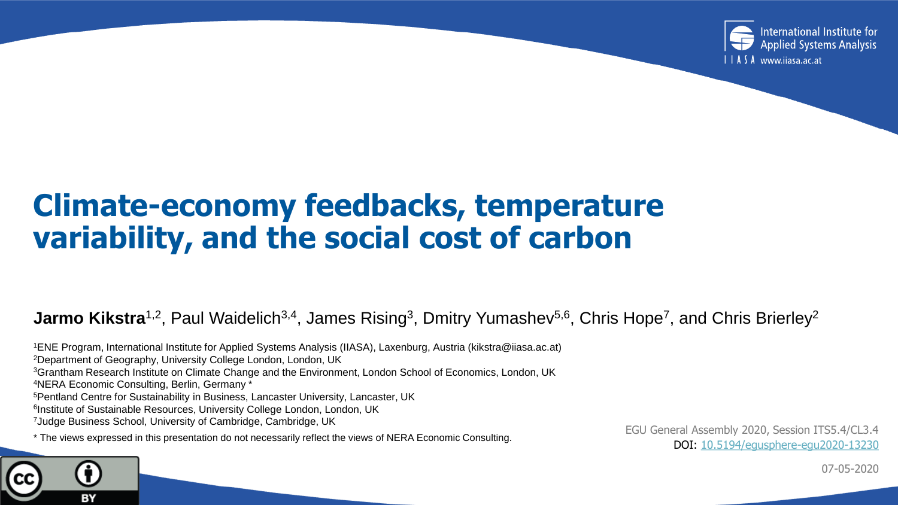

#### **Climate-economy feedbacks, temperature variability, and the social cost of carbon**

#### **Jarmo Kikstra**<sup>1,2</sup>, Paul Waidelich<sup>3,4</sup>, James Rising<sup>3</sup>, Dmitry Yumashev<sup>5,6</sup>, Chris Hope<sup>7</sup>, and Chris Brierley<sup>2</sup>

ENE Program, International Institute for Applied Systems Analysis (IIASA), Laxenburg, Austria (kikstra@iiasa.ac.at) Department of Geography, University College London, London, UK Grantham Research Institute on Climate Change and the Environment, London School of Economics, London, UK NERA Economic Consulting, Berlin, Germany \* Pentland Centre for Sustainability in Business, Lancaster University, Lancaster, UK <sup>6</sup>Institute of Sustainable Resources, University College London, London, UK Judge Business School, University of Cambridge, Cambridge, UK \* The views expressed in this presentation do not necessarily reflect the views of NERA Economic Consulting.

BY

EGU General Assembly 2020, Session ITS5.4/CL3.4 DOI: [10.5194/egusphere-egu2020-13230](https://doi.org/10.5194/egusphere-egu2020-13230)

07-05-2020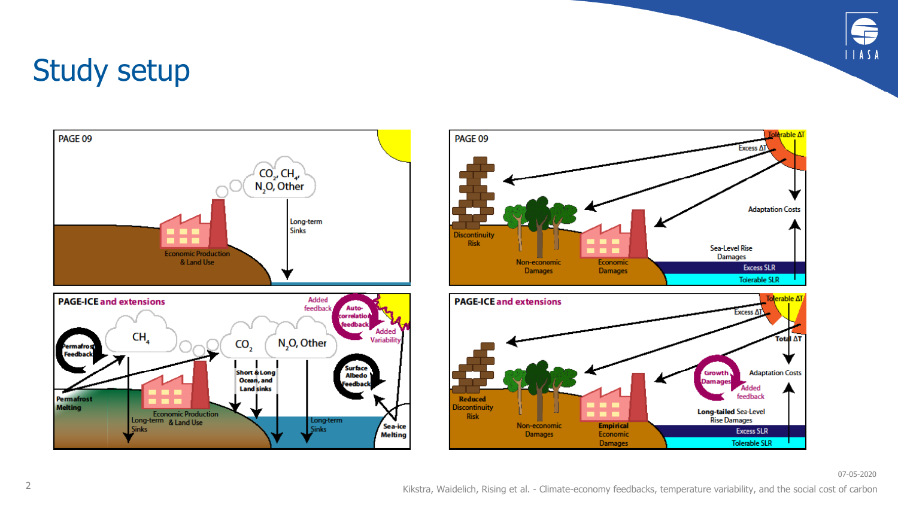

#### Study setup





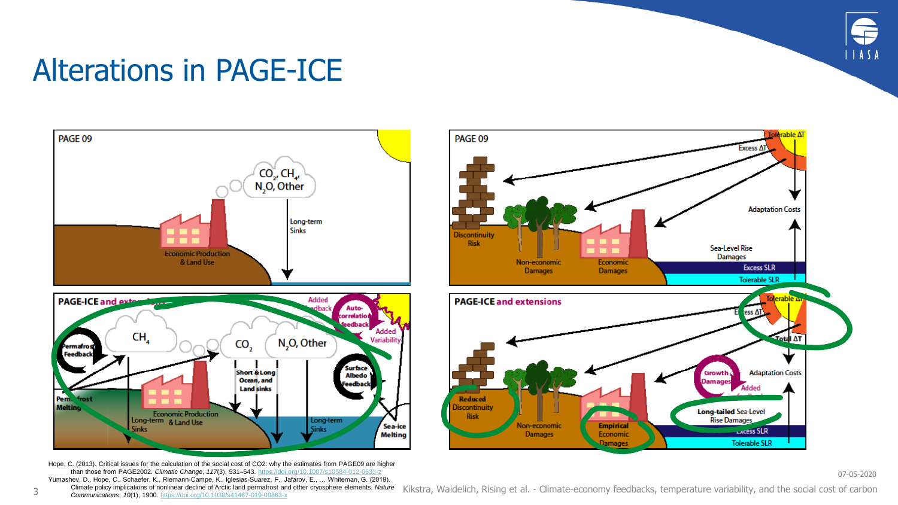

# Alterations in PAGE-ICE



Hope, C. (2013). Critical issues for the calculation of the social cost of CO2: why the estimates from PAGE09 are higher than those from PAGE2002. *Climatic Change*, *117*(3), 531–543. <https://doi.org/10.1007/s10584-012-0633-z> Yumashev, D., Hope, C., Schaefer, K., Riemann-Campe, K., Iglesias-Suarez, F., Jafarov, E., … Whiteman, G. (2019).



07-05-2020

Climate policy implications of nonlinear decline of Arctic land permafrost and other cryosphere elements. *Nature* <sup>3</sup> *Communications*, *10*(1), 1900. <https://doi.org/10.1038/s41467-019-09863-x> Kikstra, Waidelich, Rising et al. - Climate-economy feedbacks, temperature variability, and the social cost of carbon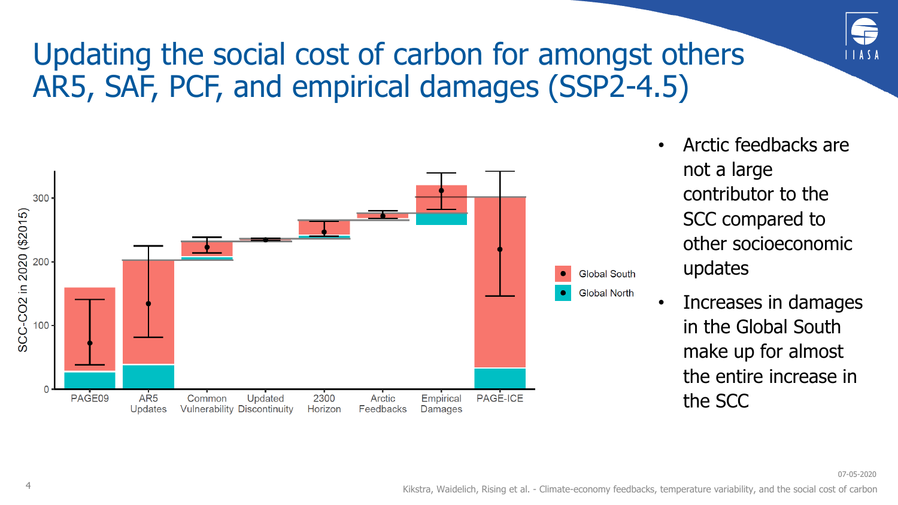# Updating the social cost of carbon for amongst others AR5, SAF, PCF, and empirical damages (SSP2-4.5)



- Arctic feedbacks are not a large contributor to the SCC compared to other socioeconomic updates
- Increases in damages in the Global South make up for almost the entire increase in the SCC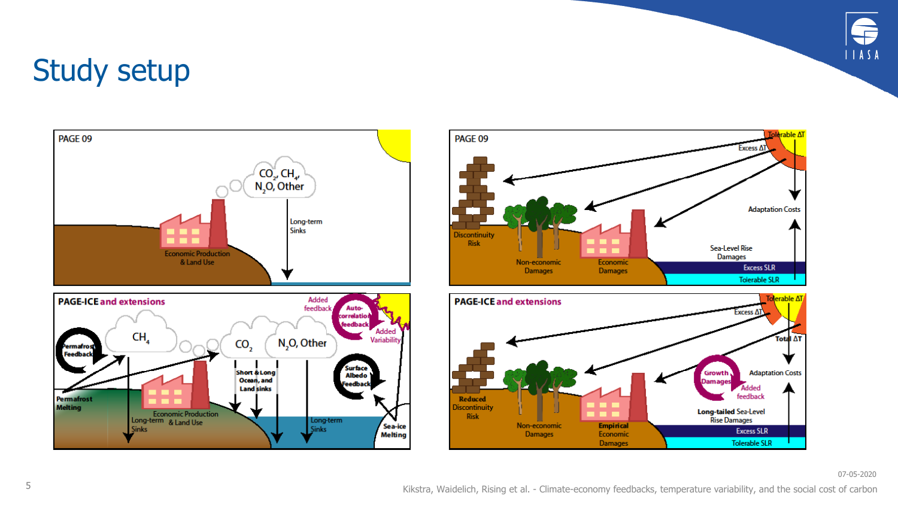

07-05-2020

#### Study setup





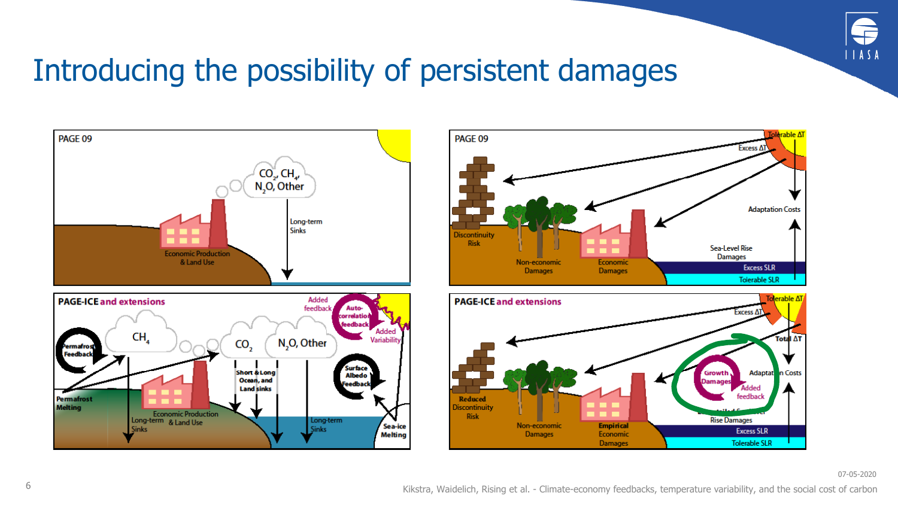

#### Introducing the possibility of persistent damages





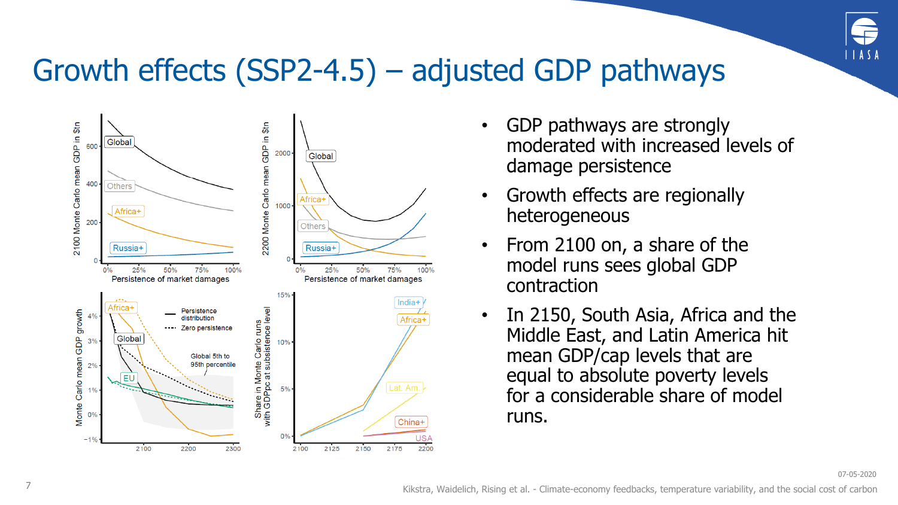

#### Growth effects (SSP2-4.5) – adjusted GDP pathways



- GDP pathways are strongly moderated with increased levels of damage persistence
- Growth effects are regionally heterogeneous
- From 2100 on, a share of the model runs sees global GDP contraction
- In 2150, South Asia, Africa and the Middle East, and Latin America hit mean GDP/cap levels that are equal to absolute poverty levels for a considerable share of model runs.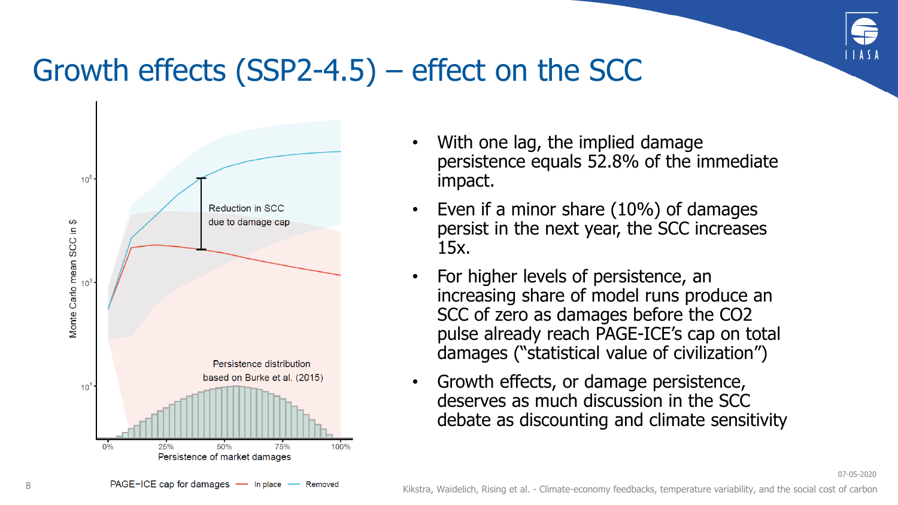

07-05-2020

# Growth effects (SSP2-4.5) – effect on the SCC



- With one lag, the implied damage persistence equals 52.8% of the immediate impact.
- Even if a minor share (10%) of damages persist in the next year, the SCC increases 15x.
- For higher levels of persistence, an increasing share of model runs produce an SCC of zero as damages before the CO2 pulse already reach PAGE-ICE's cap on total damages ("statistical value of civilization")
- Growth effects, or damage persistence, deserves as much discussion in the SCC debate as discounting and climate sensitivity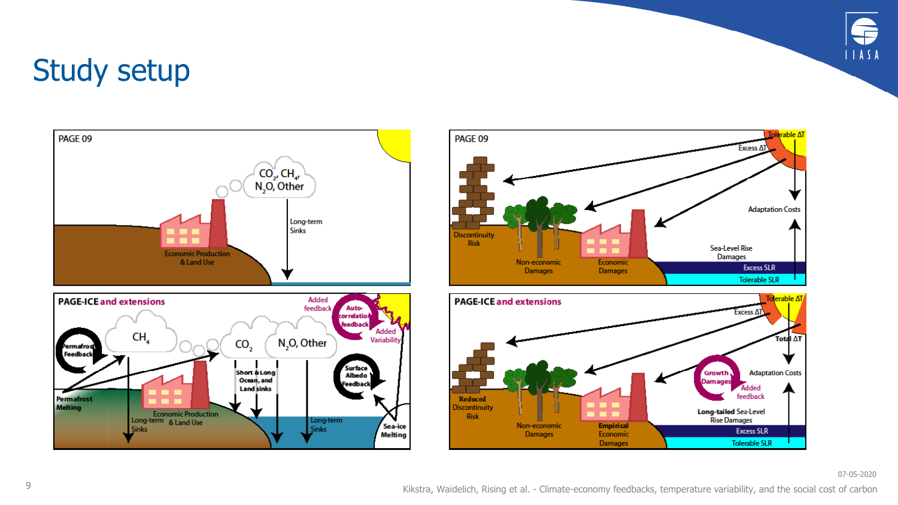

#### Study setup





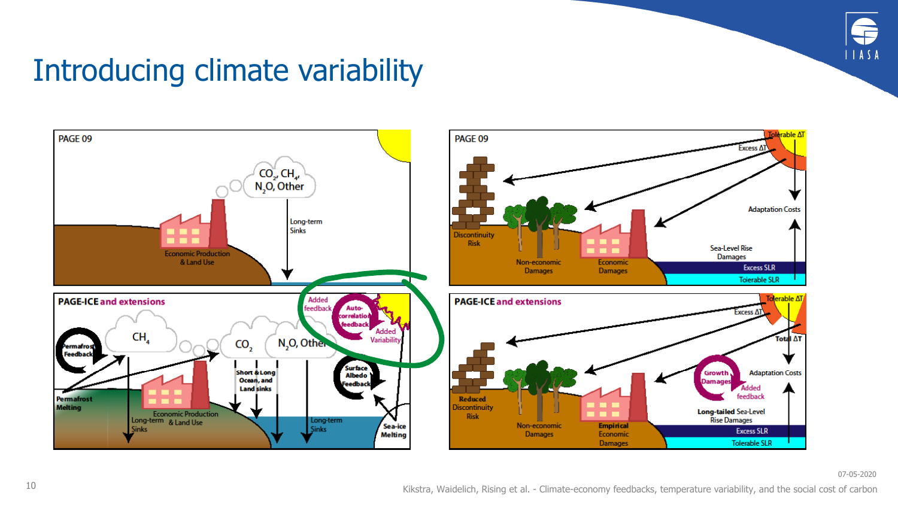

# Introducing climate variability

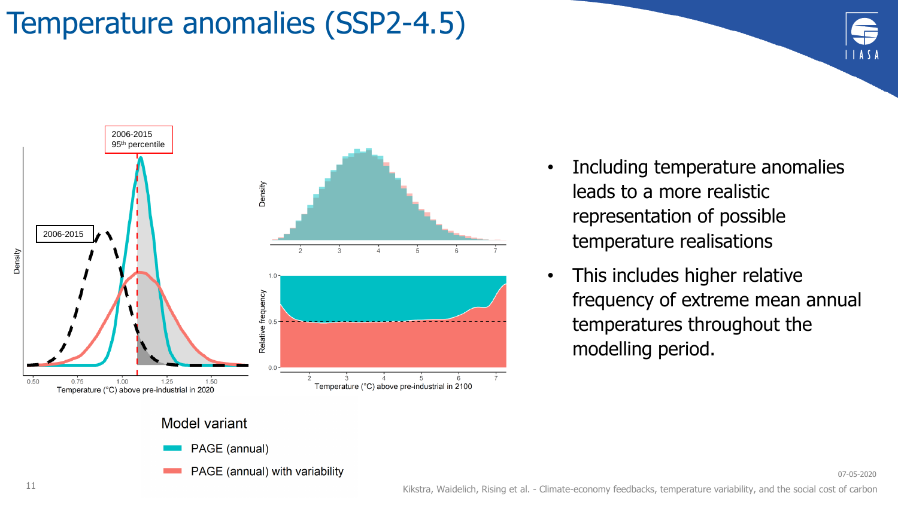# Temperature anomalies (SSP2-4.5)



PAGE (annual) with variability

- Including temperature anomalies leads to a more realistic representation of possible temperature realisations
- This includes higher relative frequency of extreme mean annual temperatures throughout the modelling period.

07-05-2020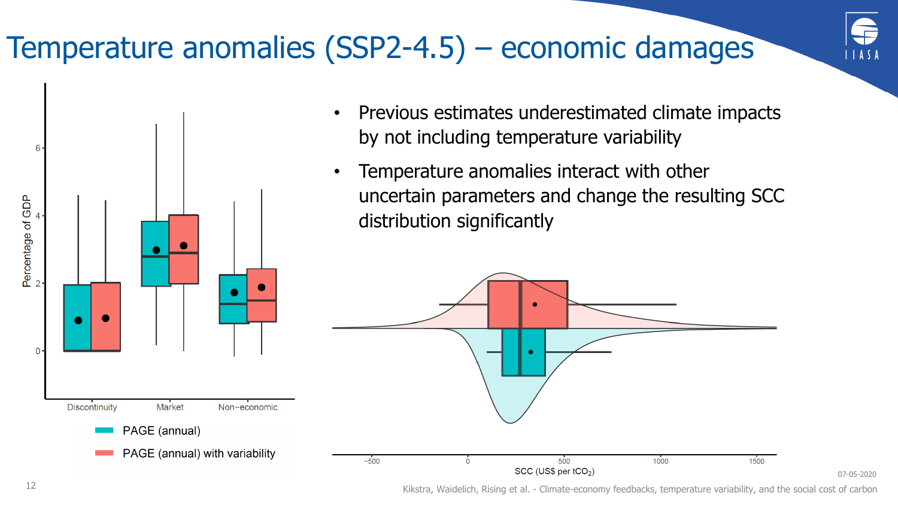# Temperature anomalies (SSP2-4.5) – economic damages



07-05-2020

- Previous estimates underestimated climate impacts by not including temperature variability
- Temperature anomalies interact with other uncertain parameters and change the resulting SCC distribution significantly



12 Kikstra, Waidelich, Rising et al. - Climate-economy feedbacks, temperature variability, and the social cost of carbon

6

Percentage of GDP

0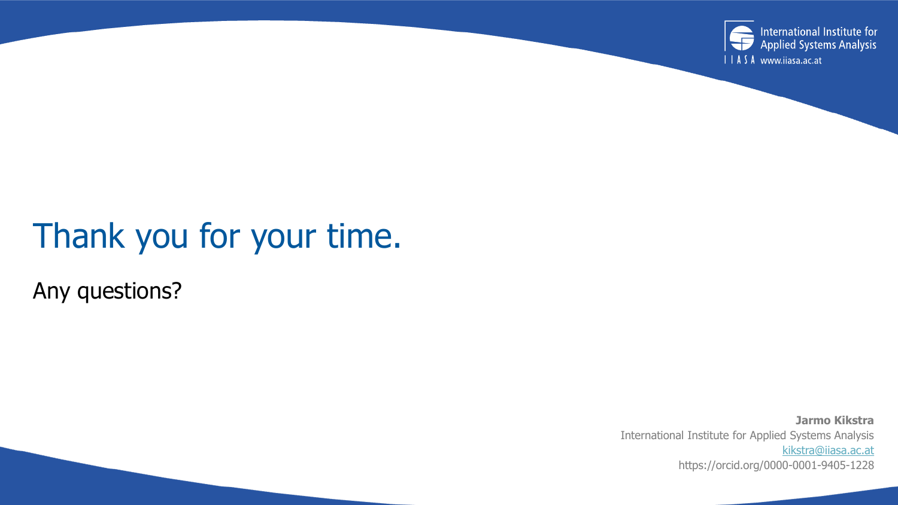

# Thank you for your time.

Any questions?

**Jarmo Kikstra** International Institute for Applied Systems Analysis [kikstra@iiasa.ac.at](mailto:kikstra@iiasa.ac.at) https://orcid.org/0000-0001-9405-1228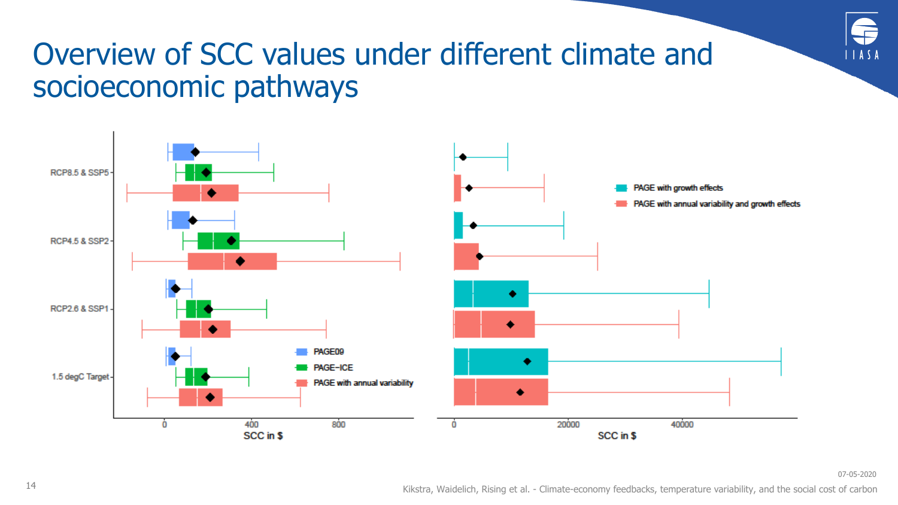

# Overview of SCC values under different climate and socioeconomic pathways